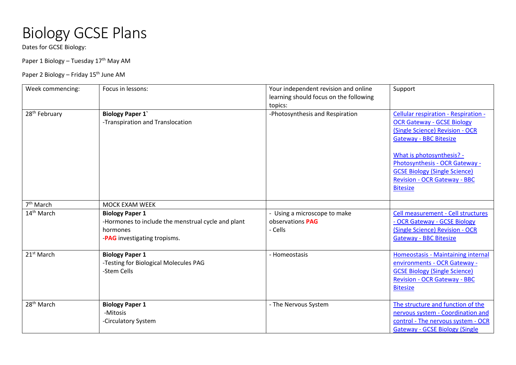## Biology GCSE Plans

Dates for GCSE Biology:

Paper 1 Biology - Tuesday 17<sup>th</sup> May AM

## Paper 2 Biology – Friday 15<sup>th</sup> June AM

| Week commencing:          | Focus in lessons:                                                                                                        | Your independent revision and online<br>learning should focus on the following | Support                                                                                                                                                                                                                                                                |
|---------------------------|--------------------------------------------------------------------------------------------------------------------------|--------------------------------------------------------------------------------|------------------------------------------------------------------------------------------------------------------------------------------------------------------------------------------------------------------------------------------------------------------------|
| 28 <sup>th</sup> February | <b>Biology Paper 1'</b>                                                                                                  | topics:<br>-Photosynthesis and Respiration                                     | <b>Cellular respiration - Respiration -</b>                                                                                                                                                                                                                            |
|                           | -Transpiration and Translocation                                                                                         |                                                                                | <b>OCR Gateway - GCSE Biology</b><br>(Single Science) Revision - OCR<br><b>Gateway - BBC Bitesize</b><br>What is photosynthesis? -<br>Photosynthesis - OCR Gateway -<br><b>GCSE Biology (Single Science)</b><br><b>Revision - OCR Gateway - BBC</b><br><b>Bitesize</b> |
| 7 <sup>th</sup> March     | <b>MOCK EXAM WEEK</b>                                                                                                    |                                                                                |                                                                                                                                                                                                                                                                        |
| 14 <sup>th</sup> March    | <b>Biology Paper 1</b><br>-Hormones to include the menstrual cycle and plant<br>hormones<br>-PAG investigating tropisms. | - Using a microscope to make<br>observations PAG<br>- Cells                    | Cell measurement - Cell structures<br>- OCR Gateway - GCSE Biology<br>(Single Science) Revision - OCR<br><b>Gateway - BBC Bitesize</b>                                                                                                                                 |
| 21 <sup>st</sup> March    | <b>Biology Paper 1</b><br>-Testing for Biological Molecules PAG<br>-Stem Cells                                           | - Homeostasis                                                                  | Homeostasis - Maintaining internal<br>environments - OCR Gateway -<br><b>GCSE Biology (Single Science)</b><br><b>Revision - OCR Gateway - BBC</b><br><b>Bitesize</b>                                                                                                   |
| 28 <sup>th</sup> March    | <b>Biology Paper 1</b><br>-Mitosis<br>-Circulatory System                                                                | - The Nervous System                                                           | The structure and function of the<br>nervous system - Coordination and<br>control - The nervous system - OCR<br><b>Gateway - GCSE Biology (Single</b>                                                                                                                  |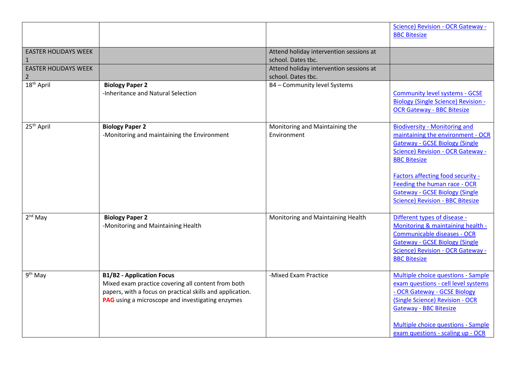| <b>EASTER HOLIDAYS WEEK</b><br>$\mathbf{1}$<br><b>EASTER HOLIDAYS WEEK</b><br>$\overline{2}$<br>$18th$ April | <b>Biology Paper 2</b><br>-Inheritance and Natural Selection                                                                                                                                                   | Attend holiday intervention sessions at<br>school. Dates tbc.<br>Attend holiday intervention sessions at<br>school. Dates tbc.<br>B4 - Community level Systems | Science) Revision - OCR Gateway -<br><b>BBC Bitesize</b><br><b>Community level systems - GCSE</b><br><b>Biology (Single Science) Revision -</b><br><b>OCR Gateway - BBC Bitesize</b>                                                                                                                                                    |
|--------------------------------------------------------------------------------------------------------------|----------------------------------------------------------------------------------------------------------------------------------------------------------------------------------------------------------------|----------------------------------------------------------------------------------------------------------------------------------------------------------------|-----------------------------------------------------------------------------------------------------------------------------------------------------------------------------------------------------------------------------------------------------------------------------------------------------------------------------------------|
| 25 <sup>th</sup> April                                                                                       | <b>Biology Paper 2</b><br>-Monitoring and maintaining the Environment                                                                                                                                          | Monitoring and Maintaining the<br>Environment                                                                                                                  | <b>Biodiversity - Monitoring and</b><br>maintaining the environment - OCR<br><b>Gateway - GCSE Biology (Single</b><br>Science) Revision - OCR Gateway -<br><b>BBC</b> Bitesize<br>Factors affecting food security -<br>Feeding the human race - OCR<br><b>Gateway - GCSE Biology (Single</b><br><b>Science) Revision - BBC Bitesize</b> |
| $2nd$ May                                                                                                    | <b>Biology Paper 2</b><br>-Monitoring and Maintaining Health                                                                                                                                                   | Monitoring and Maintaining Health                                                                                                                              | Different types of disease -<br>Monitoring & maintaining health -<br><b>Communicable diseases - OCR</b><br><b>Gateway - GCSE Biology (Single)</b><br>Science) Revision - OCR Gateway -<br><b>BBC Bitesize</b>                                                                                                                           |
| $9th$ May                                                                                                    | <b>B1/B2 - Application Focus</b><br>Mixed exam practice covering all content from both<br>papers, with a focus on practical skills and application.<br><b>PAG</b> using a microscope and investigating enzymes | -Mixed Exam Practice                                                                                                                                           | Multiple choice questions - Sample<br>exam questions - cell level systems<br>- OCR Gateway - GCSE Biology<br>(Single Science) Revision - OCR<br><b>Gateway - BBC Bitesize</b><br>Multiple choice questions - Sample<br>exam questions - scaling up - OCR                                                                                |